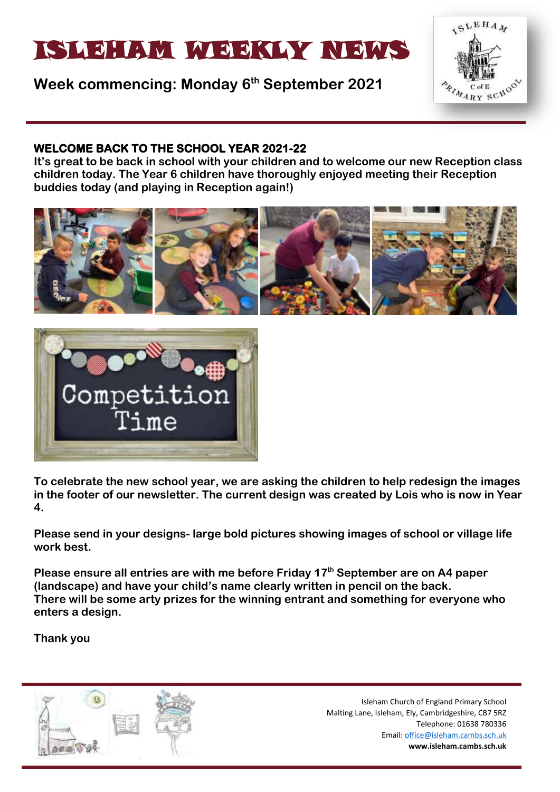# ISLEHAM MEEKLY NEWS

## **Week commencing: Monday 6 th September 2021**



#### **WELCOME BACK TO THE SCHOOL YEAR 2021-22**

**It's great to be back in school with your children and to welcome our new Reception class children today. The Year 6 children have thoroughly enjoyed meeting their Reception buddies today (and playing in Reception again!)**





**To celebrate the new school year, we are asking the children to help redesign the images in the footer of our newsletter. The current design was created by Lois who is now in Year 4.** 

**Please send in your designs- large bold pictures showing images of school or village life work best.**

**Please ensure all entries are with me before Friday 17th September are on A4 paper (landscape) and have your child's name clearly written in pencil on the back. There will be some arty prizes for the winning entrant and something for everyone who enters a design.** 

**Thank you** 

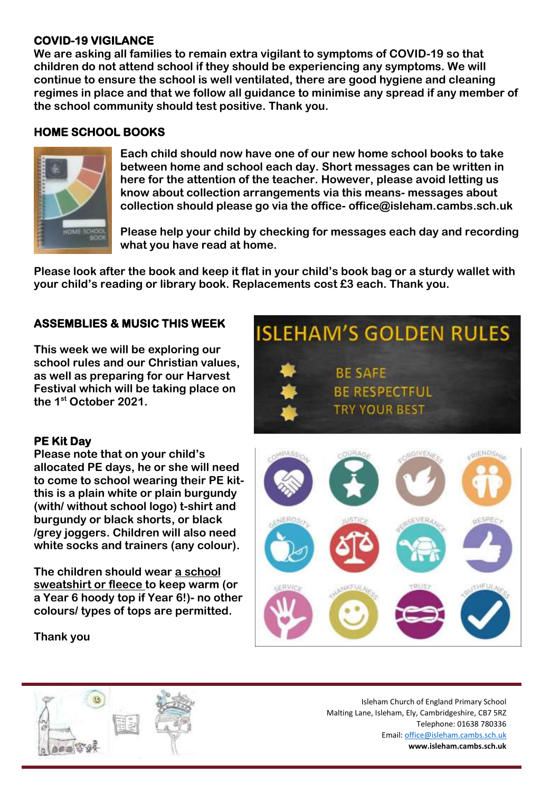#### **COVID-19 VIGILANCE**

**We are asking all families to remain extra vigilant to symptoms of COVID-19 so that children do not attend school if they should be experiencing any symptoms. We will continue to ensure the school is well ventilated, there are good hygiene and cleaning regimes in place and that we follow all guidance to minimise any spread if any member of the school community should test positive. Thank you.** 

#### **HOME SCHOOL BOOKS**



**Each child should now have one of our new home school books to take between home and school each day. Short messages can be written in here for the attention of the teacher. However, please avoid letting us know about collection arrangements via this means- messages about collection should please go via the office- office@isleham.cambs.sch.uk**

**Please help your child by checking for messages each day and recording what you have read at home.** 

**Please look after the book and keep it flat in your child's book bag or a sturdy wallet with your child's reading or library book. Replacements cost £3 each. Thank you.** 

#### **ASSEMBLIES & MUSIC THIS WEEK**

**This week we will be exploring our school rules and our Christian values, as well as preparing for our Harvest Festival which will be taking place on the 1st October 2021.**

#### **PE Kit Day**

**Please note that on your child's allocated PE days, he or she will need to come to school wearing their PE kitthis is a plain white or plain burgundy (with/ without school logo) t-shirt and burgundy or black shorts, or black /grey joggers. Children will also need white socks and trainers (any colour).**

**The children should wear a school sweatshirt or fleece to keep warm (or a Year 6 hoody top if Year 6!)- no other colours/ types of tops are permitted.** 

**BE SAFE BE RESPECTFUL TRY YOUR BEST** 

**ISLEHAM'S GOLDEN RULES** 

**Thank you**

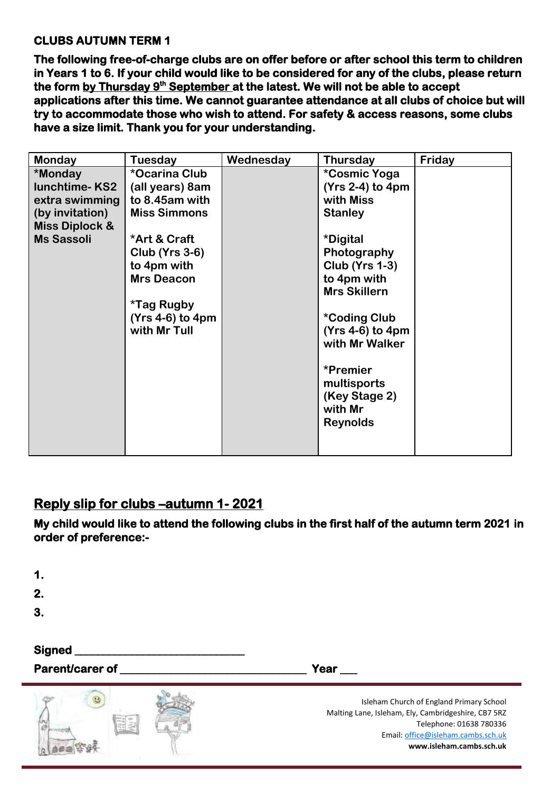#### **CLUBS AUTUMN TERM 1**

**The following free-of-charge clubs are on offer before or after school this term to children in Years 1 to 6. If your child would like to be considered for any of the clubs, please return**  the form <u>by Thursday 9<sup>th</sup> September a</u>t the latest. We will not be able to accept **applications after this time. We cannot guarantee attendance at all clubs of choice but will try to accommodate those who wish to attend. For safety & access reasons, some clubs have a size limit. Thank you for your understanding.** 

| <b>Monday</b>             | Tuesday                  | Wednesday | <b>Thursday</b>            | Friday |
|---------------------------|--------------------------|-----------|----------------------------|--------|
| *Monday                   | *Ocarina Club            |           | *Cosmic Yoga               |        |
| <b>lunchtime-KS2</b>      | (all years) 8am          |           | $(Yrs 2-4)$ to 4pm         |        |
| extra swimming            | to 8.45am with           |           | with Miss                  |        |
| (by invitation)           | <b>Miss Simmons</b>      |           | <b>Stanley</b>             |        |
| <b>Miss Diplock &amp;</b> |                          |           |                            |        |
| <b>Ms Sassoli</b>         | *Art & Craft             |           | *Digital                   |        |
|                           | <b>Club (Yrs 3-6)</b>    |           | Photography                |        |
|                           | to 4pm with              |           | <b>Club (Yrs 1-3)</b>      |        |
|                           | <b>Mrs Deacon</b>        |           | to 4pm with                |        |
|                           |                          |           | <b>Mrs Skillern</b>        |        |
|                           | <i><b>*Tag Rugby</b></i> |           |                            |        |
|                           | $(Yrs 4-6)$ to 4pm       |           | <i><b>*Coding Club</b></i> |        |
|                           | with Mr Tull             |           | $(Yrs 4-6)$ to 4pm         |        |
|                           |                          |           | with Mr Walker             |        |
|                           |                          |           |                            |        |
|                           |                          |           | *Premier                   |        |
|                           |                          |           | multisports                |        |
|                           |                          |           | (Key Stage 2)              |        |
|                           |                          |           | with Mr                    |        |
|                           |                          |           | <b>Reynolds</b>            |        |
|                           |                          |           |                            |        |
|                           |                          |           |                            |        |

### **Reply slip for clubs –autumn 1- 2021**

**My child would like to attend the following clubs in the first half of the autumn term 2021 in order of preference:-** 

| 1.<br>2.<br>3.                   |                                                                                                                                                                                              |
|----------------------------------|----------------------------------------------------------------------------------------------------------------------------------------------------------------------------------------------|
| <b>Signed</b><br>Parent/carer of | Year $\qquad \qquad$                                                                                                                                                                         |
|                                  | Isleham Church of England Primary School<br>Malting Lane, Isleham, Ely, Cambridgeshire, CB7 5RZ<br>Telephone: 01638 780336<br>Email: office@isleham.cambs.sch.uk<br>www.isleham.cambs.sch.uk |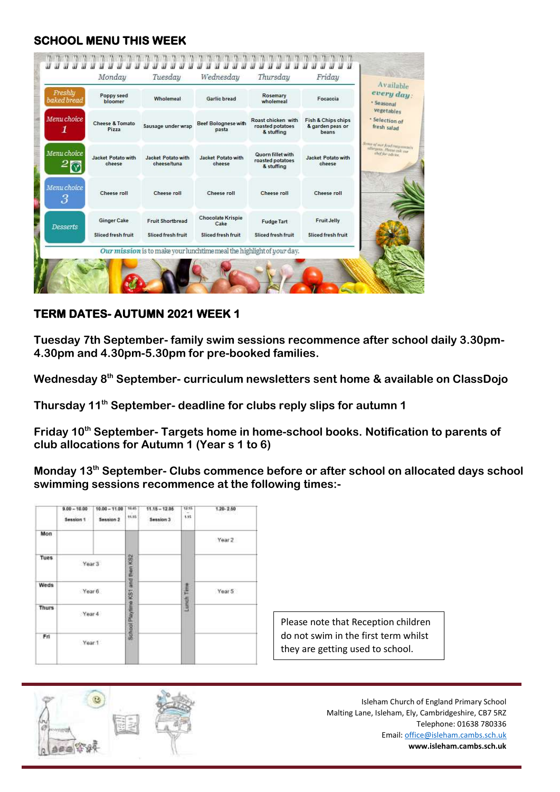#### **SCHOOL MENU THIS WEEK**

| Freshhy<br>baked bread | Poppy seed<br>bloomer                    | Wholemeal                                                             | Garlic bread                                           | Rosemary<br>wholemeal                                | Focaccia                                        | every day:<br>· Seasonal                                   |
|------------------------|------------------------------------------|-----------------------------------------------------------------------|--------------------------------------------------------|------------------------------------------------------|-------------------------------------------------|------------------------------------------------------------|
| Menu choice<br>1       | Cheese & Tomato<br>Pizza                 | Sausage under wrap                                                    | Beef Bolognese with<br>pasta                           | Roast chicken with<br>roasted potatoes<br>& stuffing | Fish & Chips chips<br>& garden peas or<br>beans | vegetables<br>· Selection of<br>fresh salad                |
| Menu choice            | <b>Jacket Potato with</b><br>cheese      | <b>Jacket Potato with</b><br>cheese/tuna                              | <b>Jacket Potato with</b><br>cheese                    | Quorn fillet with<br>roasted potatoes<br>& stuffing  | <b>Jacket Potato with</b><br>cheese             | Some of our food map commit<br>ally pass. However and your |
| Menu choice<br>3       | Cheese roll                              | Cheese roll                                                           | Cheese roll                                            | Cheese roll                                          | Cheese roll                                     |                                                            |
| <b>Desserts</b>        | <b>Ginger Cake</b><br>Sliced fresh fruit | Fruit Shortbread<br>Sliced fresh fruit                                | <b>Chocolate Krispie</b><br>Cake<br>Sliced fresh fruit | <b>Fudge Tart</b><br>Sliced fresh fruit              | <b>Fruit Jelly</b><br><b>Sliced fresh fruit</b> |                                                            |
|                        |                                          | Our mission is to make your lunchtime meal the highlight of your day. |                                                        |                                                      |                                                 |                                                            |

#### **TERM DATES- AUTUMN 2021 WEEK 1**

**Tuesday 7th September- family swim sessions recommence after school daily 3.30pm-4.30pm and 4.30pm-5.30pm for pre-booked families.**

**Wednesday 8th September- curriculum newsletters sent home & available on ClassDojo**

**Thursday 11th September- deadline for clubs reply slips for autumn 1**

**Friday 10th September- Targets home in home-school books. Notification to parents of club allocations for Autumn 1 (Year s 1 to 6)**

**Monday 13th September- Clubs commence before or after school on allocated days school swimming sessions recommence at the following times:-**

|              | $9.00 - 10.00$<br>Session 1 | $10.00 - 11.00$<br>Session 2 | 10.45<br>11.15                   | $11.15 - 12.05$<br>Session 3 | 12.15<br>1.15 | $1.20 - 2.50$ |                  |
|--------------|-----------------------------|------------------------------|----------------------------------|------------------------------|---------------|---------------|------------------|
| Mon          |                             |                              |                                  |                              |               | Year 2        |                  |
| <b>Tues</b>  | Year 3                      |                              |                                  |                              |               |               |                  |
| Weds         | Year 6                      |                              |                                  | Lunch Time                   | Year 5        |               |                  |
| <b>Thurs</b> | Year 4                      |                              | School Playtime KS1 and then KS2 |                              |               |               | Please           |
| Fri          | Year 1                      |                              |                                  |                              |               |               | do not<br>they a |